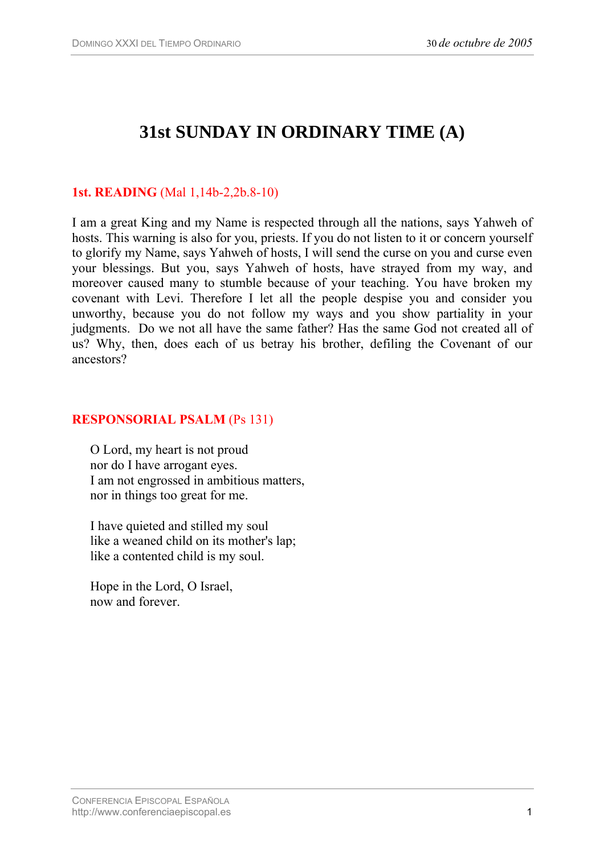# **31st SUNDAY IN ORDINARY TIME (A)**

## **1st. READING** (Mal 1,14b-2,2b.8-10)

I am a great King and my Name is respected through all the nations, says Yahweh of hosts. This warning is also for you, priests. If you do not listen to it or concern yourself to glorify my Name, says Yahweh of hosts, I will send the curse on you and curse even your blessings. But you, says Yahweh of hosts, have strayed from my way, and moreover caused many to stumble because of your teaching. You have broken my covenant with Levi. Therefore I let all the people despise you and consider you unworthy, because you do not follow my ways and you show partiality in your judgments. Do we not all have the same father? Has the same God not created all of us? Why, then, does each of us betray his brother, defiling the Covenant of our ancestors?

#### **RESPONSORIAL PSALM** (Ps 131)

O Lord, my heart is not proud nor do I have arrogant eyes. I am not engrossed in ambitious matters, nor in things too great for me.

I have quieted and stilled my soul like a weaned child on its mother's lap; like a contented child is my soul.

Hope in the Lord, O Israel, now and forever.